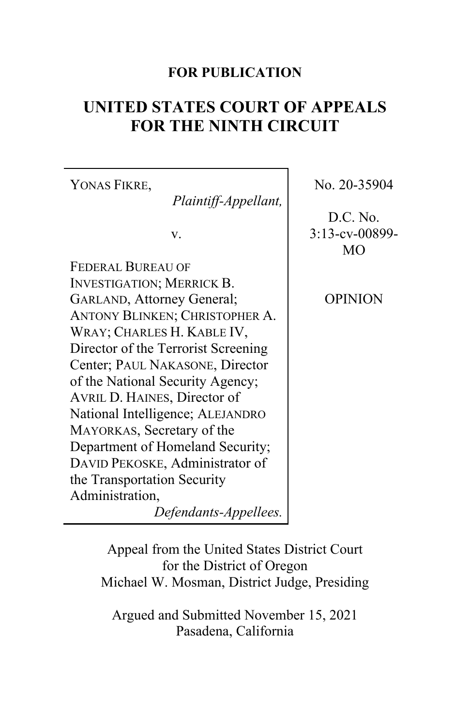# **FOR PUBLICATION**

# **UNITED STATES COURT OF APPEALS FOR THE NINTH CIRCUIT**

YONAS FIKRE, *Plaintiff-Appellant,* v. FEDERAL BUREAU OF INVESTIGATION; MERRICK B. GARLAND, Attorney General; ANTONY BLINKEN; CHRISTOPHER A. WRAY; CHARLES H. KABLE IV, Director of the Terrorist Screening Center; PAUL NAKASONE, Director of the National Security Agency;

AVRIL D. HAINES, Director of National Intelligence; ALEJANDRO MAYORKAS, Secretary of the

the Transportation Security

Administration,

Department of Homeland Security; DAVID PEKOSKE, Administrator of

No. 20-35904

D.C. No. 3:13-cv-00899- MO

OPINION

Appeal from the United States District Court

*Defendants-Appellees.*

for the District of Oregon Michael W. Mosman, District Judge, Presiding

Argued and Submitted November 15, 2021 Pasadena, California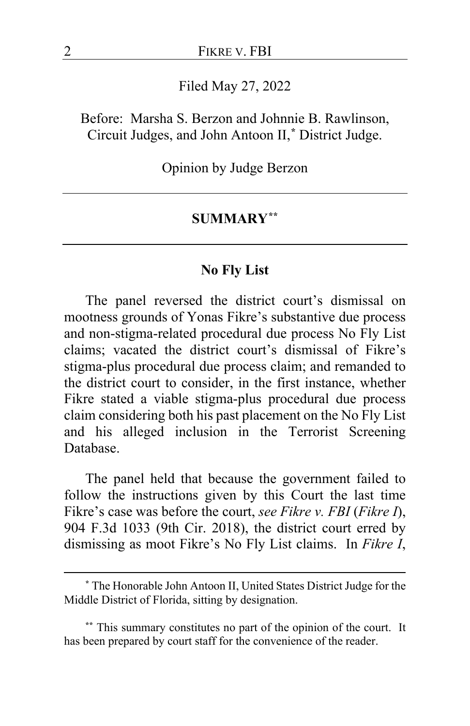Filed May 27, 2022

Before: Marsha S. Berzon and Johnnie B. Rawlinson, Circuit Judges, and John Antoon II,**[\\*](#page-1-0)** District Judge.

Opinion by Judge Berzon

#### **SUMMARY[\\*\\*](#page-1-1)**

#### **No Fly List**

The panel reversed the district court's dismissal on mootness grounds of Yonas Fikre's substantive due process and non-stigma-related procedural due process No Fly List claims; vacated the district court's dismissal of Fikre's stigma-plus procedural due process claim; and remanded to the district court to consider, in the first instance, whether Fikre stated a viable stigma-plus procedural due process claim considering both his past placement on the No Fly List and his alleged inclusion in the Terrorist Screening Database.

The panel held that because the government failed to follow the instructions given by this Court the last time Fikre's case was before the court, *see Fikre v. FBI* (*Fikre I*), 904 F.3d 1033 (9th Cir. 2018), the district court erred by dismissing as moot Fikre's No Fly List claims. In *Fikre I*,

<span id="page-1-0"></span>**<sup>\*</sup>** The Honorable John Antoon II, United States District Judge for the Middle District of Florida, sitting by designation.

<span id="page-1-1"></span>**<sup>\*\*</sup>** This summary constitutes no part of the opinion of the court. It has been prepared by court staff for the convenience of the reader.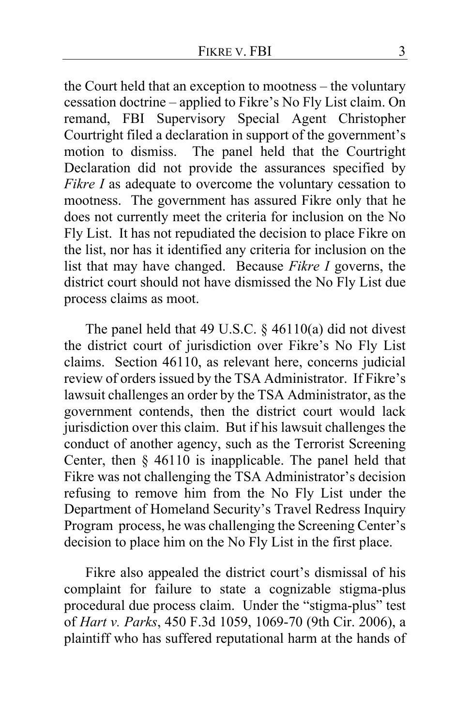the Court held that an exception to mootness – the voluntary cessation doctrine – applied to Fikre's No Fly List claim. On remand, FBI Supervisory Special Agent Christopher Courtright filed a declaration in support of the government's motion to dismiss. The panel held that the Courtright Declaration did not provide the assurances specified by *Fikre I* as adequate to overcome the voluntary cessation to mootness. The government has assured Fikre only that he does not currently meet the criteria for inclusion on the No Fly List. It has not repudiated the decision to place Fikre on the list, nor has it identified any criteria for inclusion on the list that may have changed. Because *Fikre I* governs, the district court should not have dismissed the No Fly List due process claims as moot.

The panel held that 49 U.S.C.  $\S$  46110(a) did not divest the district court of jurisdiction over Fikre's No Fly List claims. Section 46110, as relevant here, concerns judicial review of orders issued by the TSA Administrator. If Fikre's lawsuit challenges an order by the TSA Administrator, as the government contends, then the district court would lack jurisdiction over this claim. But if his lawsuit challenges the conduct of another agency, such as the Terrorist Screening Center, then § 46110 is inapplicable. The panel held that Fikre was not challenging the TSA Administrator's decision refusing to remove him from the No Fly List under the Department of Homeland Security's Travel Redress Inquiry Program process, he was challenging the Screening Center's decision to place him on the No Fly List in the first place.

Fikre also appealed the district court's dismissal of his complaint for failure to state a cognizable stigma-plus procedural due process claim. Under the "stigma-plus" test of *Hart v. Parks*, 450 F.3d 1059, 1069-70 (9th Cir. 2006), a plaintiff who has suffered reputational harm at the hands of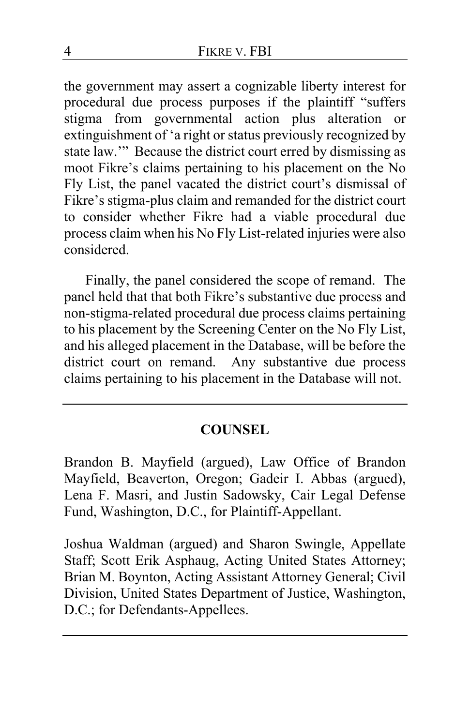the government may assert a cognizable liberty interest for procedural due process purposes if the plaintiff "suffers stigma from governmental action plus alteration or extinguishment of 'a right or status previously recognized by state law.'" Because the district court erred by dismissing as moot Fikre's claims pertaining to his placement on the No Fly List, the panel vacated the district court's dismissal of Fikre's stigma-plus claim and remanded for the district court to consider whether Fikre had a viable procedural due process claim when his No Fly List-related injuries were also considered.

Finally, the panel considered the scope of remand. The panel held that that both Fikre's substantive due process and non-stigma-related procedural due process claims pertaining to his placement by the Screening Center on the No Fly List, and his alleged placement in the Database, will be before the district court on remand. Any substantive due process claims pertaining to his placement in the Database will not.

# **COUNSEL**

Brandon B. Mayfield (argued), Law Office of Brandon Mayfield, Beaverton, Oregon; Gadeir I. Abbas (argued), Lena F. Masri, and Justin Sadowsky, Cair Legal Defense Fund, Washington, D.C., for Plaintiff-Appellant.

Joshua Waldman (argued) and Sharon Swingle, Appellate Staff; Scott Erik Asphaug, Acting United States Attorney; Brian M. Boynton, Acting Assistant Attorney General; Civil Division, United States Department of Justice, Washington, D.C.; for Defendants-Appellees.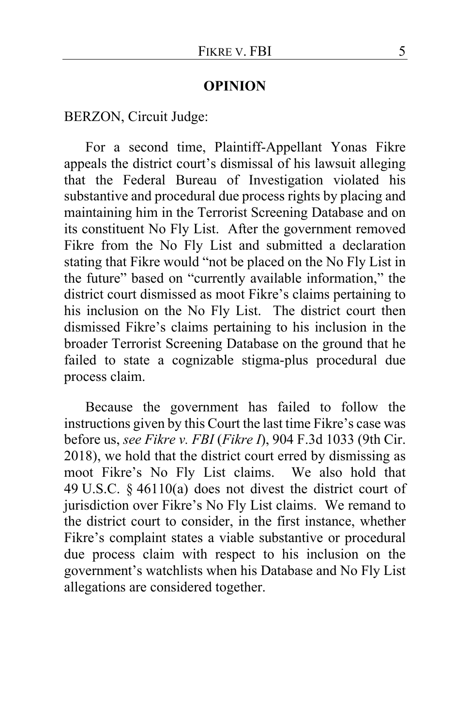#### **OPINION**

BERZON, Circuit Judge:

For a second time, Plaintiff-Appellant Yonas Fikre appeals the district court's dismissal of his lawsuit alleging that the Federal Bureau of Investigation violated his substantive and procedural due process rights by placing and maintaining him in the Terrorist Screening Database and on its constituent No Fly List. After the government removed Fikre from the No Fly List and submitted a declaration stating that Fikre would "not be placed on the No Fly List in the future" based on "currently available information," the district court dismissed as moot Fikre's claims pertaining to his inclusion on the No Fly List. The district court then dismissed Fikre's claims pertaining to his inclusion in the broader Terrorist Screening Database on the ground that he failed to state a cognizable stigma-plus procedural due process claim.

Because the government has failed to follow the instructions given by this Court the last time Fikre's case was before us, *see Fikre v. FBI* (*Fikre I*), 904 F.3d 1033 (9th Cir. 2018), we hold that the district court erred by dismissing as moot Fikre's No Fly List claims. We also hold that 49 U.S.C. § 46110(a) does not divest the district court of jurisdiction over Fikre's No Fly List claims. We remand to the district court to consider, in the first instance, whether Fikre's complaint states a viable substantive or procedural due process claim with respect to his inclusion on the government's watchlists when his Database and No Fly List allegations are considered together.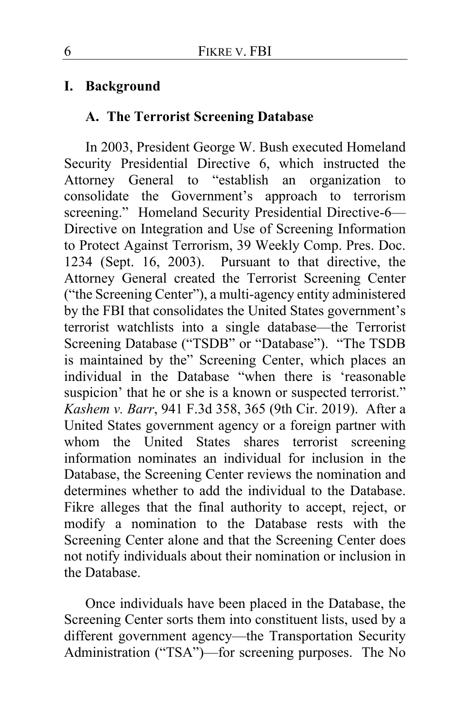# **I. Background**

## **A. The Terrorist Screening Database**

In 2003, President George W. Bush executed Homeland Security Presidential Directive 6, which instructed the Attorney General to "establish an organization to consolidate the Government's approach to terrorism screening." Homeland Security Presidential Directive-6-Directive on Integration and Use of Screening Information to Protect Against Terrorism, 39 Weekly Comp. Pres. Doc. 1234 (Sept. 16, 2003). Pursuant to that directive, the Attorney General created the Terrorist Screening Center ("the Screening Center"), a multi-agency entity administered by the FBI that consolidates the United States government's terrorist watchlists into a single database—the Terrorist Screening Database ("TSDB" or "Database"). "The TSDB is maintained by the" Screening Center, which places an individual in the Database "when there is 'reasonable suspicion' that he or she is a known or suspected terrorist." *Kashem v. Barr*, 941 F.3d 358, 365 (9th Cir. 2019). After a United States government agency or a foreign partner with whom the United States shares terrorist screening information nominates an individual for inclusion in the Database, the Screening Center reviews the nomination and determines whether to add the individual to the Database. Fikre alleges that the final authority to accept, reject, or modify a nomination to the Database rests with the Screening Center alone and that the Screening Center does not notify individuals about their nomination or inclusion in the Database.

Once individuals have been placed in the Database, the Screening Center sorts them into constituent lists, used by a different government agency—the Transportation Security Administration ("TSA")—for screening purposes. The No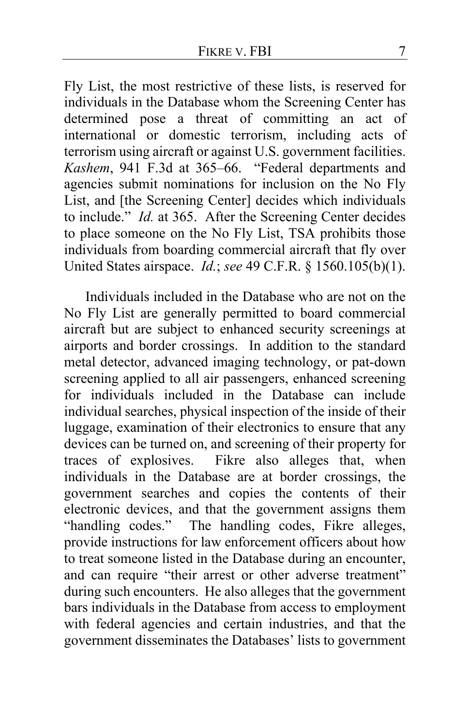Fly List, the most restrictive of these lists, is reserved for individuals in the Database whom the Screening Center has determined pose a threat of committing an act of international or domestic terrorism, including acts of terrorism using aircraft or against U.S. government facilities. *Kashem*, 941 F.3d at 365–66. "Federal departments and agencies submit nominations for inclusion on the No Fly List, and [the Screening Center] decides which individuals to include." *Id.* at 365. After the Screening Center decides to place someone on the No Fly List, TSA prohibits those individuals from boarding commercial aircraft that fly over United States airspace. *Id.*; *see* 49 C.F.R. § 1560.105(b)(1).

Individuals included in the Database who are not on the No Fly List are generally permitted to board commercial aircraft but are subject to enhanced security screenings at airports and border crossings. In addition to the standard metal detector, advanced imaging technology, or pat-down screening applied to all air passengers, enhanced screening for individuals included in the Database can include individual searches, physical inspection of the inside of their luggage, examination of their electronics to ensure that any devices can be turned on, and screening of their property for traces of explosives. Fikre also alleges that, when individuals in the Database are at border crossings, the government searches and copies the contents of their electronic devices, and that the government assigns them "handling codes." The handling codes, Fikre alleges, provide instructions for law enforcement officers about how to treat someone listed in the Database during an encounter, and can require "their arrest or other adverse treatment" during such encounters. He also alleges that the government bars individuals in the Database from access to employment with federal agencies and certain industries, and that the government disseminates the Databases' lists to government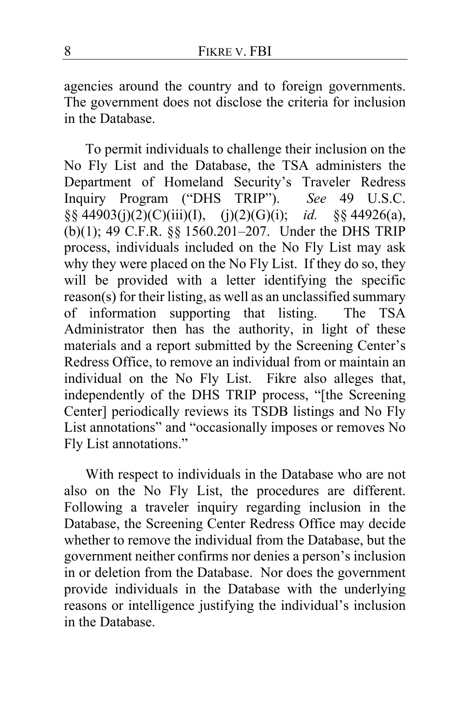agencies around the country and to foreign governments. The government does not disclose the criteria for inclusion in the Database.

To permit individuals to challenge their inclusion on the No Fly List and the Database, the TSA administers the Department of Homeland Security's Traveler Redress Inquiry Program ("DHS TRIP"). *See* 49 U.S.C. §§ 44903(j)(2)(C)(iii)(I), (j)(2)(G)(i); *id.* §§ 44926(a), (b)(1); 49 C.F.R. §§ 1560.201–207. Under the DHS TRIP process, individuals included on the No Fly List may ask why they were placed on the No Fly List. If they do so, they will be provided with a letter identifying the specific reason(s) for their listing, as well as an unclassified summary of information supporting that listing. The TSA Administrator then has the authority, in light of these materials and a report submitted by the Screening Center's Redress Office, to remove an individual from or maintain an individual on the No Fly List. Fikre also alleges that, independently of the DHS TRIP process, "[the Screening Center] periodically reviews its TSDB listings and No Fly List annotations" and "occasionally imposes or removes No Fly List annotations."

With respect to individuals in the Database who are not also on the No Fly List, the procedures are different. Following a traveler inquiry regarding inclusion in the Database, the Screening Center Redress Office may decide whether to remove the individual from the Database, but the government neither confirms nor denies a person's inclusion in or deletion from the Database. Nor does the government provide individuals in the Database with the underlying reasons or intelligence justifying the individual's inclusion in the Database.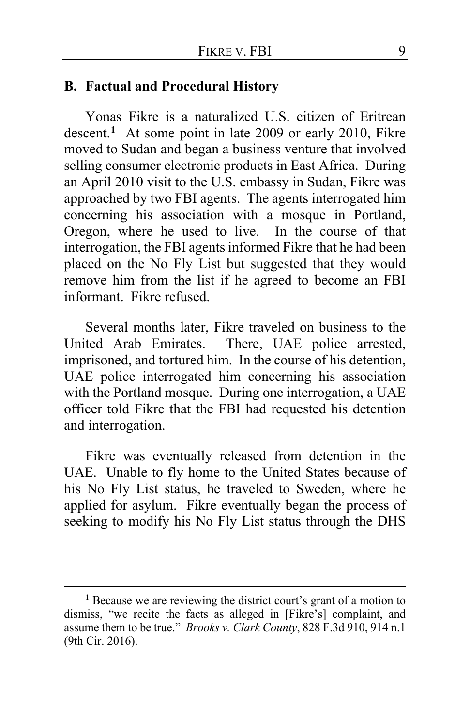#### **B. Factual and Procedural History**

Yonas Fikre is a naturalized U.S. citizen of Eritrean descent.**[1](#page-8-0)** At some point in late 2009 or early 2010, Fikre moved to Sudan and began a business venture that involved selling consumer electronic products in East Africa. During an April 2010 visit to the U.S. embassy in Sudan, Fikre was approached by two FBI agents. The agents interrogated him concerning his association with a mosque in Portland, Oregon, where he used to live. In the course of that interrogation, the FBI agents informed Fikre that he had been placed on the No Fly List but suggested that they would remove him from the list if he agreed to become an FBI informant. Fikre refused.

Several months later, Fikre traveled on business to the United Arab Emirates. There, UAE police arrested, imprisoned, and tortured him. In the course of his detention, UAE police interrogated him concerning his association with the Portland mosque. During one interrogation, a UAE officer told Fikre that the FBI had requested his detention and interrogation.

Fikre was eventually released from detention in the UAE. Unable to fly home to the United States because of his No Fly List status, he traveled to Sweden, where he applied for asylum. Fikre eventually began the process of seeking to modify his No Fly List status through the DHS

<span id="page-8-0"></span>**<sup>1</sup>** Because we are reviewing the district court's grant of a motion to dismiss, "we recite the facts as alleged in [Fikre's] complaint, and assume them to be true." *Brooks v. Clark County*, 828 F.3d 910, 914 n.1 (9th Cir. 2016).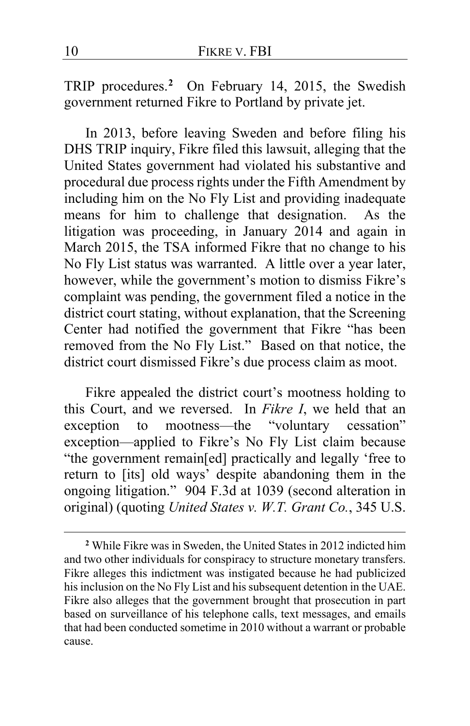TRIP procedures.**[2](#page-9-0)** On February 14, 2015, the Swedish government returned Fikre to Portland by private jet.

In 2013, before leaving Sweden and before filing his DHS TRIP inquiry, Fikre filed this lawsuit, alleging that the United States government had violated his substantive and procedural due process rights under the Fifth Amendment by including him on the No Fly List and providing inadequate means for him to challenge that designation. As the litigation was proceeding, in January 2014 and again in March 2015, the TSA informed Fikre that no change to his No Fly List status was warranted. A little over a year later, however, while the government's motion to dismiss Fikre's complaint was pending, the government filed a notice in the district court stating, without explanation, that the Screening Center had notified the government that Fikre "has been removed from the No Fly List." Based on that notice, the district court dismissed Fikre's due process claim as moot.

Fikre appealed the district court's mootness holding to this Court, and we reversed. In *Fikre I*, we held that an exception to mootness—the "voluntary cessation" exception—applied to Fikre's No Fly List claim because "the government remain[ed] practically and legally 'free to return to [its] old ways' despite abandoning them in the ongoing litigation." 904 F.3d at 1039 (second alteration in original) (quoting *United States v. W.T. Grant Co.*, 345 U.S.

<span id="page-9-0"></span>**<sup>2</sup>** While Fikre was in Sweden, the United States in 2012 indicted him and two other individuals for conspiracy to structure monetary transfers. Fikre alleges this indictment was instigated because he had publicized his inclusion on the No Fly List and his subsequent detention in the UAE. Fikre also alleges that the government brought that prosecution in part based on surveillance of his telephone calls, text messages, and emails that had been conducted sometime in 2010 without a warrant or probable cause.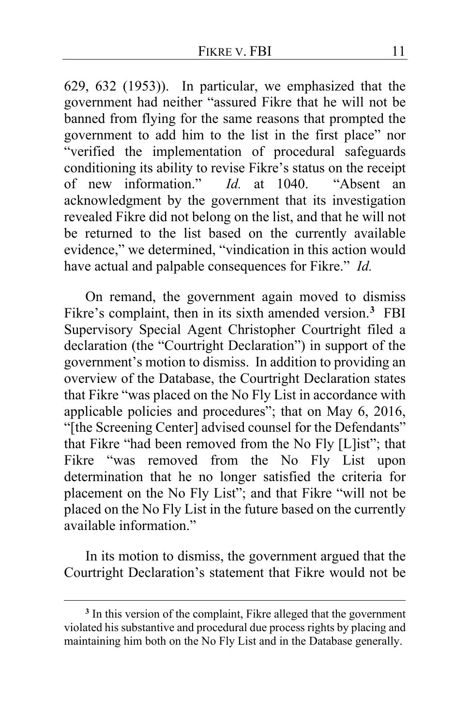629, 632 (1953)). In particular, we emphasized that the government had neither "assured Fikre that he will not be banned from flying for the same reasons that prompted the government to add him to the list in the first place" nor "verified the implementation of procedural safeguards conditioning its ability to revise Fikre's status on the receipt of new information." *Id.* at 1040. "Absent an acknowledgment by the government that its investigation revealed Fikre did not belong on the list, and that he will not be returned to the list based on the currently available evidence," we determined, "vindication in this action would have actual and palpable consequences for Fikre." *Id.*

On remand, the government again moved to dismiss Fikre's complaint, then in its sixth amended version.**[3](#page-10-0)** FBI Supervisory Special Agent Christopher Courtright filed a declaration (the "Courtright Declaration") in support of the government's motion to dismiss. In addition to providing an overview of the Database, the Courtright Declaration states that Fikre "was placed on the No Fly List in accordance with applicable policies and procedures"; that on May 6, 2016, "[the Screening Center] advised counsel for the Defendants" that Fikre "had been removed from the No Fly [L]ist"; that Fikre "was removed from the No Fly List upon determination that he no longer satisfied the criteria for placement on the No Fly List"; and that Fikre "will not be placed on the No Fly List in the future based on the currently available information."

In its motion to dismiss, the government argued that the Courtright Declaration's statement that Fikre would not be

<span id="page-10-0"></span>**<sup>3</sup>** In this version of the complaint, Fikre alleged that the government violated his substantive and procedural due process rights by placing and maintaining him both on the No Fly List and in the Database generally.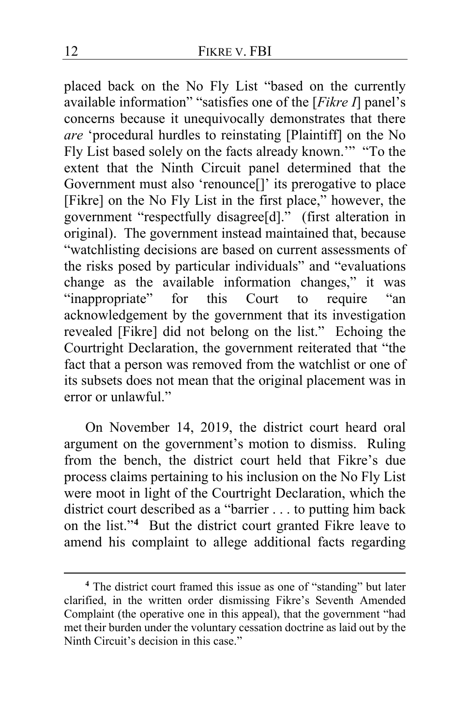placed back on the No Fly List "based on the currently available information" "satisfies one of the [*Fikre I*] panel's concerns because it unequivocally demonstrates that there *are* 'procedural hurdles to reinstating [Plaintiff] on the No Fly List based solely on the facts already known.'" "To the extent that the Ninth Circuit panel determined that the Government must also 'renounce[]' its prerogative to place [Fikre] on the No Fly List in the first place," however, the government "respectfully disagree[d]." (first alteration in original). The government instead maintained that, because "watchlisting decisions are based on current assessments of the risks posed by particular individuals" and "evaluations change as the available information changes," it was<br>"inappropriate" for this Court to require "an for this Court to require acknowledgement by the government that its investigation revealed [Fikre] did not belong on the list." Echoing the Courtright Declaration, the government reiterated that "the fact that a person was removed from the watchlist or one of its subsets does not mean that the original placement was in error or unlawful."

On November 14, 2019, the district court heard oral argument on the government's motion to dismiss. Ruling from the bench, the district court held that Fikre's due process claims pertaining to his inclusion on the No Fly List were moot in light of the Courtright Declaration, which the district court described as a "barrier . . . to putting him back on the list."**[4](#page-11-0)** But the district court granted Fikre leave to amend his complaint to allege additional facts regarding

<span id="page-11-0"></span>**<sup>4</sup>** The district court framed this issue as one of "standing" but later clarified, in the written order dismissing Fikre's Seventh Amended Complaint (the operative one in this appeal), that the government "had met their burden under the voluntary cessation doctrine as laid out by the Ninth Circuit's decision in this case."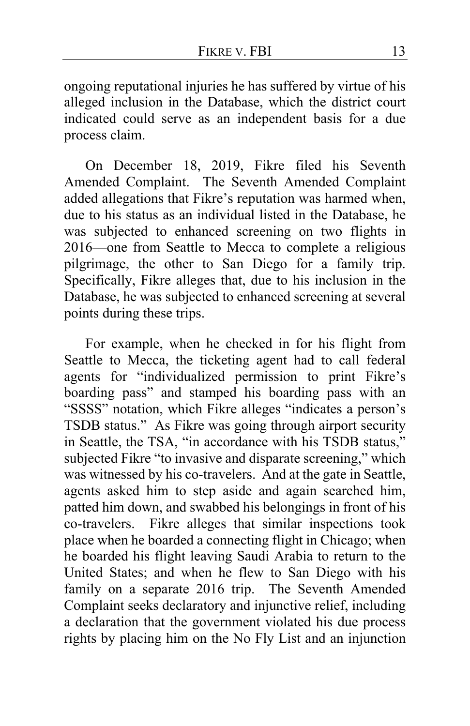ongoing reputational injuries he has suffered by virtue of his alleged inclusion in the Database, which the district court indicated could serve as an independent basis for a due process claim.

On December 18, 2019, Fikre filed his Seventh Amended Complaint. The Seventh Amended Complaint added allegations that Fikre's reputation was harmed when, due to his status as an individual listed in the Database, he was subjected to enhanced screening on two flights in 2016—one from Seattle to Mecca to complete a religious pilgrimage, the other to San Diego for a family trip. Specifically, Fikre alleges that, due to his inclusion in the Database, he was subjected to enhanced screening at several points during these trips.

For example, when he checked in for his flight from Seattle to Mecca, the ticketing agent had to call federal agents for "individualized permission to print Fikre's boarding pass" and stamped his boarding pass with an "SSSS" notation, which Fikre alleges "indicates a person's TSDB status." As Fikre was going through airport security in Seattle, the TSA, "in accordance with his TSDB status," subjected Fikre "to invasive and disparate screening," which was witnessed by his co-travelers. And at the gate in Seattle, agents asked him to step aside and again searched him, patted him down, and swabbed his belongings in front of his co-travelers. Fikre alleges that similar inspections took place when he boarded a connecting flight in Chicago; when he boarded his flight leaving Saudi Arabia to return to the United States; and when he flew to San Diego with his family on a separate 2016 trip. The Seventh Amended Complaint seeks declaratory and injunctive relief, including a declaration that the government violated his due process rights by placing him on the No Fly List and an injunction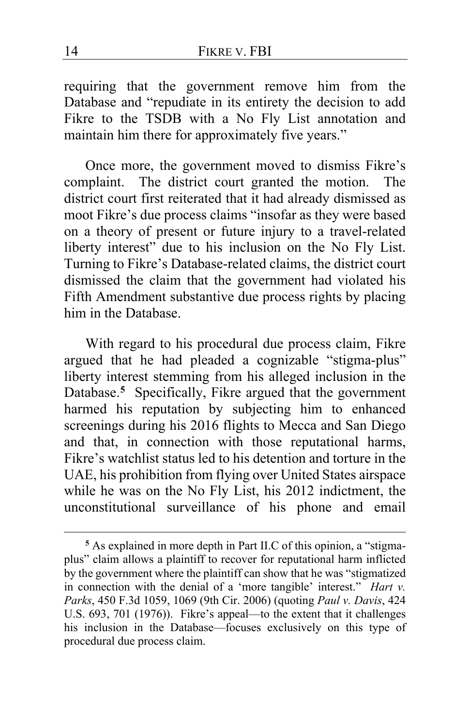requiring that the government remove him from the Database and "repudiate in its entirety the decision to add Fikre to the TSDB with a No Fly List annotation and maintain him there for approximately five years."

Once more, the government moved to dismiss Fikre's complaint. The district court granted the motion. The district court first reiterated that it had already dismissed as moot Fikre's due process claims "insofar as they were based on a theory of present or future injury to a travel-related liberty interest" due to his inclusion on the No Fly List. Turning to Fikre's Database-related claims, the district court dismissed the claim that the government had violated his Fifth Amendment substantive due process rights by placing him in the Database.

With regard to his procedural due process claim, Fikre argued that he had pleaded a cognizable "stigma-plus" liberty interest stemming from his alleged inclusion in the Database.**[5](#page-13-0)** Specifically, Fikre argued that the government harmed his reputation by subjecting him to enhanced screenings during his 2016 flights to Mecca and San Diego and that, in connection with those reputational harms, Fikre's watchlist status led to his detention and torture in the UAE, his prohibition from flying over United States airspace while he was on the No Fly List, his 2012 indictment, the unconstitutional surveillance of his phone and email

<span id="page-13-0"></span>**<sup>5</sup>** As explained in more depth in Part II.C of this opinion, a "stigmaplus" claim allows a plaintiff to recover for reputational harm inflicted by the government where the plaintiff can show that he was "stigmatized in connection with the denial of a 'more tangible' interest." *Hart v. Parks*, 450 F.3d 1059, 1069 (9th Cir. 2006) (quoting *Paul v. Davis*, 424 U.S. 693, 701 (1976)). Fikre's appeal—to the extent that it challenges his inclusion in the Database—focuses exclusively on this type of procedural due process claim.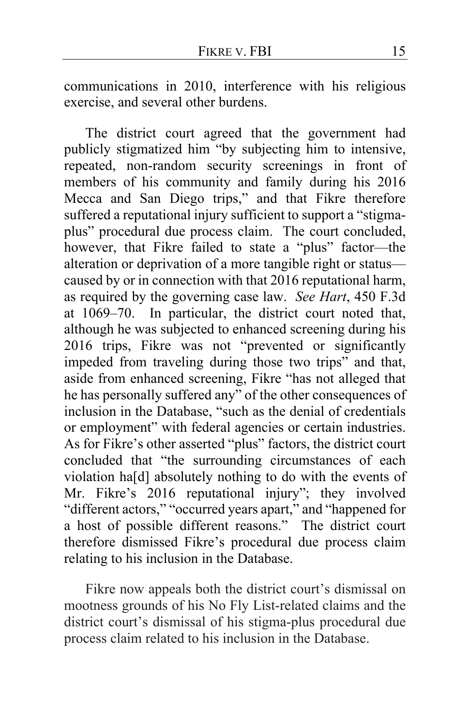communications in 2010, interference with his religious exercise, and several other burdens.

The district court agreed that the government had publicly stigmatized him "by subjecting him to intensive, repeated, non-random security screenings in front of members of his community and family during his 2016 Mecca and San Diego trips," and that Fikre therefore suffered a reputational injury sufficient to support a "stigmaplus" procedural due process claim. The court concluded, however, that Fikre failed to state a "plus" factor—the alteration or deprivation of a more tangible right or status caused by or in connection with that 2016 reputational harm, as required by the governing case law. *See Hart*, 450 F.3d at 1069–70. In particular, the district court noted that, although he was subjected to enhanced screening during his 2016 trips, Fikre was not "prevented or significantly impeded from traveling during those two trips" and that, aside from enhanced screening, Fikre "has not alleged that he has personally suffered any" of the other consequences of inclusion in the Database, "such as the denial of credentials or employment" with federal agencies or certain industries. As for Fikre's other asserted "plus" factors, the district court concluded that "the surrounding circumstances of each violation ha[d] absolutely nothing to do with the events of Mr. Fikre's 2016 reputational injury"; they involved "different actors," "occurred years apart," and "happened for a host of possible different reasons." The district court therefore dismissed Fikre's procedural due process claim relating to his inclusion in the Database.

Fikre now appeals both the district court's dismissal on mootness grounds of his No Fly List-related claims and the district court's dismissal of his stigma-plus procedural due process claim related to his inclusion in the Database.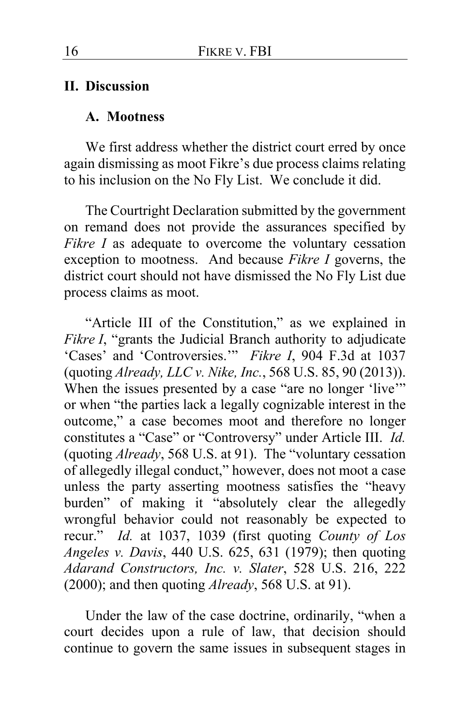### **II. Discussion**

#### **A. Mootness**

We first address whether the district court erred by once again dismissing as moot Fikre's due process claims relating to his inclusion on the No Fly List. We conclude it did.

The Courtright Declaration submitted by the government on remand does not provide the assurances specified by *Fikre I* as adequate to overcome the voluntary cessation exception to mootness. And because *Fikre I* governs, the district court should not have dismissed the No Fly List due process claims as moot.

"Article III of the Constitution," as we explained in *Fikre I*, "grants the Judicial Branch authority to adjudicate 'Cases' and 'Controversies.'" *Fikre I*, 904 F.3d at 1037 (quoting *Already, LLC v. Nike, Inc.*, 568 U.S. 85, 90 (2013)). When the issues presented by a case "are no longer 'live"" or when "the parties lack a legally cognizable interest in the outcome," a case becomes moot and therefore no longer constitutes a "Case" or "Controversy" under Article III. *Id.*  (quoting *Already*, 568 U.S. at 91). The "voluntary cessation of allegedly illegal conduct," however, does not moot a case unless the party asserting mootness satisfies the "heavy burden" of making it "absolutely clear the allegedly wrongful behavior could not reasonably be expected to recur." *Id.* at 1037, 1039 (first quoting *County of Los Angeles v. Davis*, 440 U.S. 625, 631 (1979); then quoting *Adarand Constructors, Inc. v. Slater*, 528 U.S. 216, 222 (2000); and then quoting *Already*, 568 U.S. at 91).

Under the law of the case doctrine, ordinarily, "when a court decides upon a rule of law, that decision should continue to govern the same issues in subsequent stages in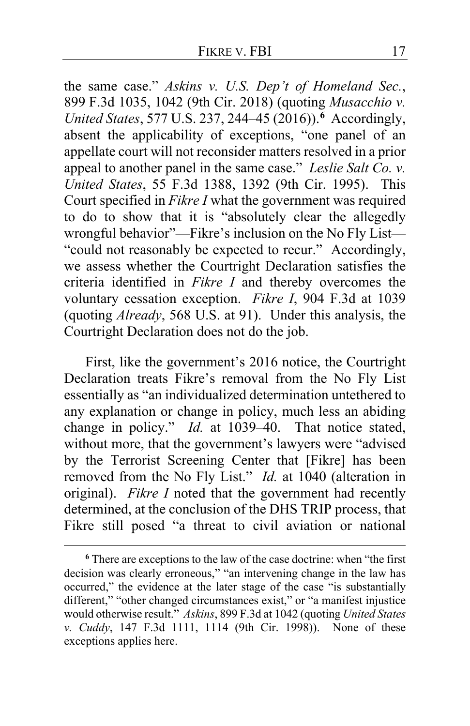the same case." *Askins v. U.S. Dep't of Homeland Sec.*, 899 F.3d 1035, 1042 (9th Cir. 2018) (quoting *Musacchio v. United States*, 577 U.S. 237, 244–45 (2016)).**[6](#page-16-0)** Accordingly, absent the applicability of exceptions, "one panel of an appellate court will not reconsider matters resolved in a prior appeal to another panel in the same case." *Leslie Salt Co. v. United States*, 55 F.3d 1388, 1392 (9th Cir. 1995). This Court specified in *Fikre I* what the government was required to do to show that it is "absolutely clear the allegedly wrongful behavior"—Fikre's inclusion on the No Fly List— "could not reasonably be expected to recur." Accordingly, we assess whether the Courtright Declaration satisfies the criteria identified in *Fikre I* and thereby overcomes the voluntary cessation exception. *Fikre I*, 904 F.3d at 1039 (quoting *Already*, 568 U.S. at 91). Under this analysis, the Courtright Declaration does not do the job.

First, like the government's 2016 notice, the Courtright Declaration treats Fikre's removal from the No Fly List essentially as "an individualized determination untethered to any explanation or change in policy, much less an abiding change in policy." *Id.* at 1039–40. That notice stated, without more, that the government's lawyers were "advised by the Terrorist Screening Center that [Fikre] has been removed from the No Fly List." *Id.* at 1040 (alteration in original). *Fikre I* noted that the government had recently determined, at the conclusion of the DHS TRIP process, that Fikre still posed "a threat to civil aviation or national

<span id="page-16-0"></span>**<sup>6</sup>** There are exceptions to the law of the case doctrine: when "the first decision was clearly erroneous," "an intervening change in the law has occurred," the evidence at the later stage of the case "is substantially different," "other changed circumstances exist," or "a manifest injustice would otherwise result." *Askins*, 899 F.3d at 1042 (quoting *United States v. Cuddy*, 147 F.3d 1111, 1114 (9th Cir. 1998)). None of these exceptions applies here.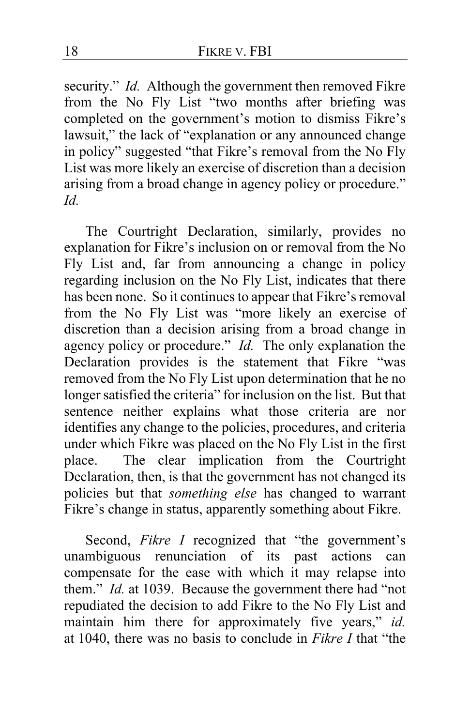security." *Id.* Although the government then removed Fikre from the No Fly List "two months after briefing was completed on the government's motion to dismiss Fikre's lawsuit," the lack of "explanation or any announced change in policy" suggested "that Fikre's removal from the No Fly List was more likely an exercise of discretion than a decision arising from a broad change in agency policy or procedure." *Id.*

The Courtright Declaration, similarly, provides no explanation for Fikre's inclusion on or removal from the No Fly List and, far from announcing a change in policy regarding inclusion on the No Fly List, indicates that there has been none. So it continues to appear that Fikre's removal from the No Fly List was "more likely an exercise of discretion than a decision arising from a broad change in agency policy or procedure." *Id.* The only explanation the Declaration provides is the statement that Fikre "was removed from the No Fly List upon determination that he no longer satisfied the criteria" for inclusion on the list. But that sentence neither explains what those criteria are nor identifies any change to the policies, procedures, and criteria under which Fikre was placed on the No Fly List in the first place. The clear implication from the Courtright Declaration, then, is that the government has not changed its policies but that *something else* has changed to warrant Fikre's change in status, apparently something about Fikre.

Second, *Fikre I* recognized that "the government's unambiguous renunciation of its past actions can compensate for the ease with which it may relapse into them." *Id.* at 1039. Because the government there had "not repudiated the decision to add Fikre to the No Fly List and maintain him there for approximately five years," *id.* at 1040, there was no basis to conclude in *Fikre I* that "the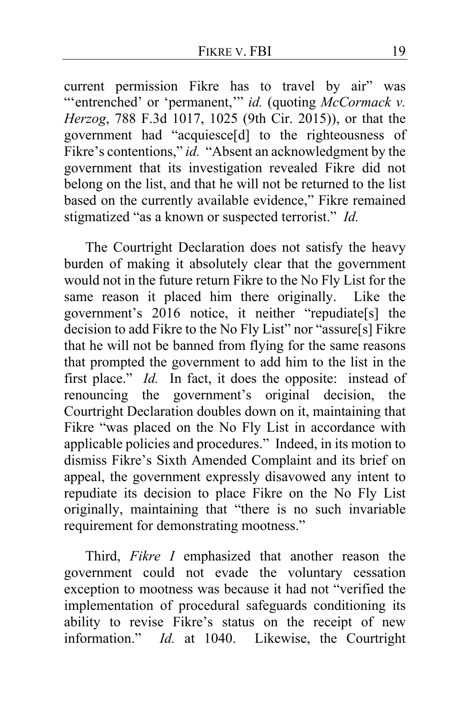current permission Fikre has to travel by air" was "'entrenched' or 'permanent,'" *id.* (quoting *McCormack v. Herzog*, 788 F.3d 1017, 1025 (9th Cir. 2015)), or that the government had "acquiesce[d] to the righteousness of Fikre's contentions," *id.* "Absent an acknowledgment by the government that its investigation revealed Fikre did not belong on the list, and that he will not be returned to the list based on the currently available evidence," Fikre remained stigmatized "as a known or suspected terrorist." *Id.*

The Courtright Declaration does not satisfy the heavy burden of making it absolutely clear that the government would not in the future return Fikre to the No Fly List for the same reason it placed him there originally. Like the government's 2016 notice, it neither "repudiate[s] the decision to add Fikre to the No Fly List" nor "assure[s] Fikre that he will not be banned from flying for the same reasons that prompted the government to add him to the list in the first place." *Id.* In fact, it does the opposite: instead of renouncing the government's original decision, the Courtright Declaration doubles down on it, maintaining that Fikre "was placed on the No Fly List in accordance with applicable policies and procedures." Indeed, in its motion to dismiss Fikre's Sixth Amended Complaint and its brief on appeal, the government expressly disavowed any intent to repudiate its decision to place Fikre on the No Fly List originally, maintaining that "there is no such invariable requirement for demonstrating mootness."

Third, *Fikre I* emphasized that another reason the government could not evade the voluntary cessation exception to mootness was because it had not "verified the implementation of procedural safeguards conditioning its ability to revise Fikre's status on the receipt of new information." *Id.* at 1040. Likewise, the Courtright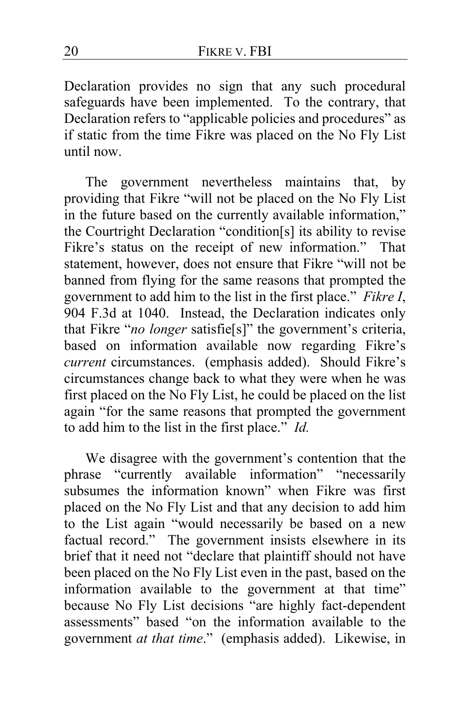Declaration provides no sign that any such procedural safeguards have been implemented. To the contrary, that Declaration refers to "applicable policies and procedures" as if static from the time Fikre was placed on the No Fly List until now.

The government nevertheless maintains that, by providing that Fikre "will not be placed on the No Fly List in the future based on the currently available information," the Courtright Declaration "condition[s] its ability to revise Fikre's status on the receipt of new information." That statement, however, does not ensure that Fikre "will not be banned from flying for the same reasons that prompted the government to add him to the list in the first place." *Fikre I*, 904 F.3d at 1040. Instead, the Declaration indicates only that Fikre "*no longer* satisfie[s]" the government's criteria, based on information available now regarding Fikre's *current* circumstances. (emphasis added).Should Fikre's circumstances change back to what they were when he was first placed on the No Fly List, he could be placed on the list again "for the same reasons that prompted the government to add him to the list in the first place." *Id.*

We disagree with the government's contention that the phrase "currently available information" "necessarily subsumes the information known" when Fikre was first placed on the No Fly List and that any decision to add him to the List again "would necessarily be based on a new factual record." The government insists elsewhere in its brief that it need not "declare that plaintiff should not have been placed on the No Fly List even in the past, based on the information available to the government at that time" because No Fly List decisions "are highly fact-dependent assessments" based "on the information available to the government *at that time*." (emphasis added). Likewise, in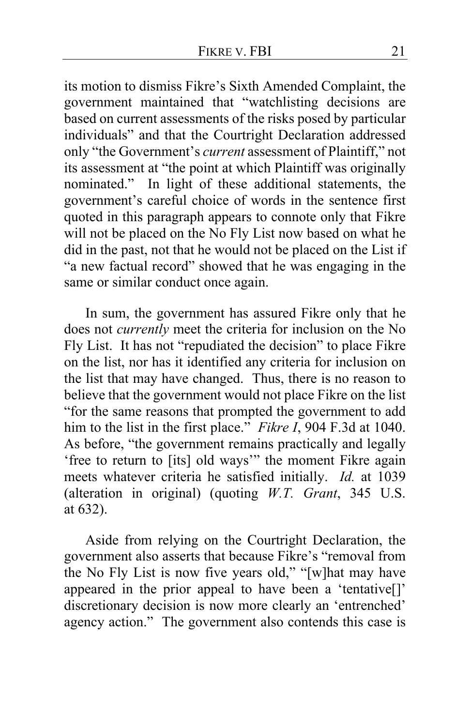its motion to dismiss Fikre's Sixth Amended Complaint, the government maintained that "watchlisting decisions are based on current assessments of the risks posed by particular individuals" and that the Courtright Declaration addressed only "the Government's *current* assessment of Plaintiff," not its assessment at "the point at which Plaintiff was originally nominated." In light of these additional statements, the government's careful choice of words in the sentence first quoted in this paragraph appears to connote only that Fikre will not be placed on the No Fly List now based on what he did in the past, not that he would not be placed on the List if "a new factual record" showed that he was engaging in the same or similar conduct once again.

In sum, the government has assured Fikre only that he does not *currently* meet the criteria for inclusion on the No Fly List. It has not "repudiated the decision" to place Fikre on the list, nor has it identified any criteria for inclusion on the list that may have changed. Thus, there is no reason to believe that the government would not place Fikre on the list "for the same reasons that prompted the government to add him to the list in the first place." *Fikre I*, 904 F.3d at 1040. As before, "the government remains practically and legally 'free to return to [its] old ways'" the moment Fikre again meets whatever criteria he satisfied initially. *Id.* at 1039 (alteration in original) (quoting *W.T. Grant*, 345 U.S. at 632).

Aside from relying on the Courtright Declaration, the government also asserts that because Fikre's "removal from the No Fly List is now five years old," "[w]hat may have appeared in the prior appeal to have been a 'tentative[]' discretionary decision is now more clearly an 'entrenched' agency action." The government also contends this case is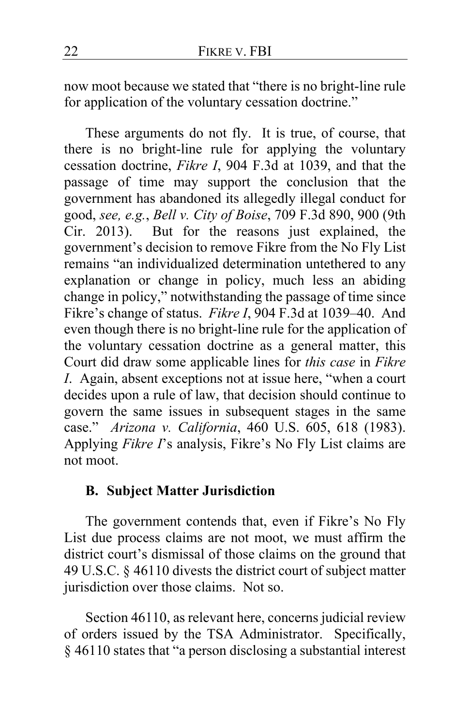now moot because we stated that "there is no bright-line rule for application of the voluntary cessation doctrine."

These arguments do not fly. It is true, of course, that there is no bright-line rule for applying the voluntary cessation doctrine, *Fikre I*, 904 F.3d at 1039, and that the passage of time may support the conclusion that the government has abandoned its allegedly illegal conduct for good, *see, e.g.*, *Bell v. City of Boise*, 709 F.3d 890, 900 (9th Cir. 2013). But for the reasons just explained, the government's decision to remove Fikre from the No Fly List remains "an individualized determination untethered to any explanation or change in policy, much less an abiding change in policy," notwithstanding the passage of time since Fikre's change of status. *Fikre I*, 904 F.3d at 1039–40. And even though there is no bright-line rule for the application of the voluntary cessation doctrine as a general matter, this Court did draw some applicable lines for *this case* in *Fikre I*. Again, absent exceptions not at issue here, "when a court decides upon a rule of law, that decision should continue to govern the same issues in subsequent stages in the same case." *Arizona v. California*, 460 U.S. 605, 618 (1983). Applying *Fikre I*'s analysis, Fikre's No Fly List claims are not moot.

# **B. Subject Matter Jurisdiction**

The government contends that, even if Fikre's No Fly List due process claims are not moot, we must affirm the district court's dismissal of those claims on the ground that 49 U.S.C. § 46110 divests the district court of subject matter jurisdiction over those claims. Not so.

Section 46110, as relevant here, concerns judicial review of orders issued by the TSA Administrator. Specifically, § 46110 states that "a person disclosing a substantial interest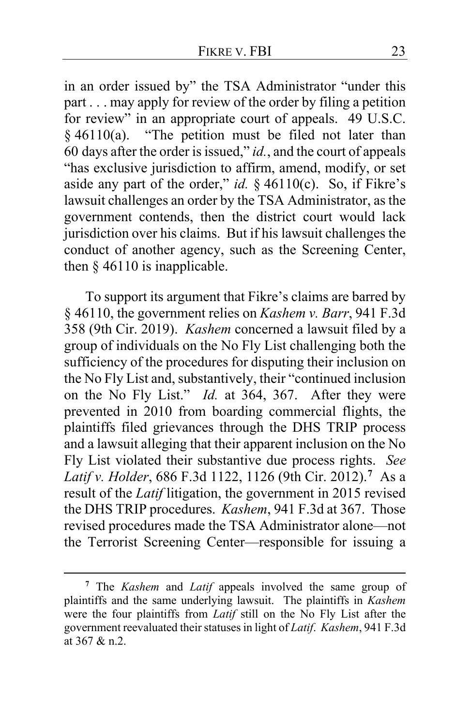in an order issued by" the TSA Administrator "under this part . . . may apply for review of the order by filing a petition for review" in an appropriate court of appeals. 49 U.S.C.  $§$  46110(a). "The petition must be filed not later than 60 days after the order is issued," *id.*, and the court of appeals "has exclusive jurisdiction to affirm, amend, modify, or set aside any part of the order," *id.* § 46110(c). So, if Fikre's lawsuit challenges an order by the TSA Administrator, as the government contends, then the district court would lack jurisdiction over his claims. But if his lawsuit challenges the conduct of another agency, such as the Screening Center, then  $§$  46110 is inapplicable.

To support its argument that Fikre's claims are barred by § 46110, the government relies on *Kashem v. Barr*, 941 F.3d 358 (9th Cir. 2019). *Kashem* concerned a lawsuit filed by a group of individuals on the No Fly List challenging both the sufficiency of the procedures for disputing their inclusion on the No Fly List and, substantively, their "continued inclusion on the No Fly List." *Id.* at 364, 367. After they were prevented in 2010 from boarding commercial flights, the plaintiffs filed grievances through the DHS TRIP process and a lawsuit alleging that their apparent inclusion on the No Fly List violated their substantive due process rights. *See Latif v. Holder*, 686 F.3d 1122, 1126 (9th Cir. 2012).**[7](#page-22-0)** As a result of the *Latif* litigation, the government in 2015 revised the DHS TRIP procedures. *Kashem*, 941 F.3d at 367. Those revised procedures made the TSA Administrator alone—not the Terrorist Screening Center—responsible for issuing a

<span id="page-22-0"></span>**<sup>7</sup>** The *Kashem* and *Latif* appeals involved the same group of plaintiffs and the same underlying lawsuit. The plaintiffs in *Kashem*  were the four plaintiffs from *Latif* still on the No Fly List after the government reevaluated their statuses in light of *Latif*. *Kashem*, 941 F.3d at 367 & n.2.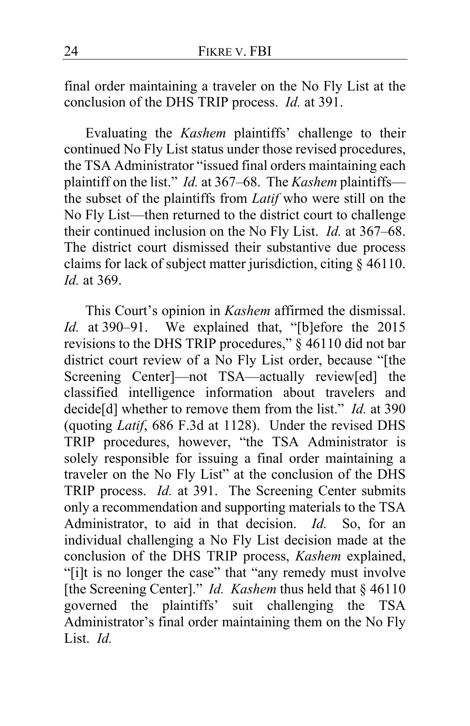final order maintaining a traveler on the No Fly List at the conclusion of the DHS TRIP process. *Id.* at 391.

Evaluating the *Kashem* plaintiffs' challenge to their continued No Fly List status under those revised procedures, the TSA Administrator "issued final orders maintaining each plaintiff on the list." *Id.* at 367–68. The *Kashem* plaintiffs the subset of the plaintiffs from *Latif* who were still on the No Fly List—then returned to the district court to challenge their continued inclusion on the No Fly List. *Id.* at 367–68. The district court dismissed their substantive due process claims for lack of subject matter jurisdiction, citing § 46110. *Id.* at 369.

This Court's opinion in *Kashem* affirmed the dismissal. *Id.* at 390–91. We explained that, "[b]efore the 2015 revisions to the DHS TRIP procedures,"  $\frac{3}{5}$  46110 did not bar district court review of a No Fly List order, because "[the Screening Center<sup>-</sup> not TSA—actually review[ed] the classified intelligence information about travelers and decide[d] whether to remove them from the list." *Id.* at 390 (quoting *Latif*, 686 F.3d at 1128). Under the revised DHS TRIP procedures, however, "the TSA Administrator is solely responsible for issuing a final order maintaining a traveler on the No Fly List" at the conclusion of the DHS TRIP process. *Id.* at 391. The Screening Center submits only a recommendation and supporting materials to the TSA Administrator, to aid in that decision. *Id.* So, for an individual challenging a No Fly List decision made at the conclusion of the DHS TRIP process, *Kashem* explained, "[i]t is no longer the case" that "any remedy must involve [the Screening Center]." *Id. Kashem* thus held that § 46110 governed the plaintiffs' suit challenging the TSA Administrator's final order maintaining them on the No Fly List. *Id.*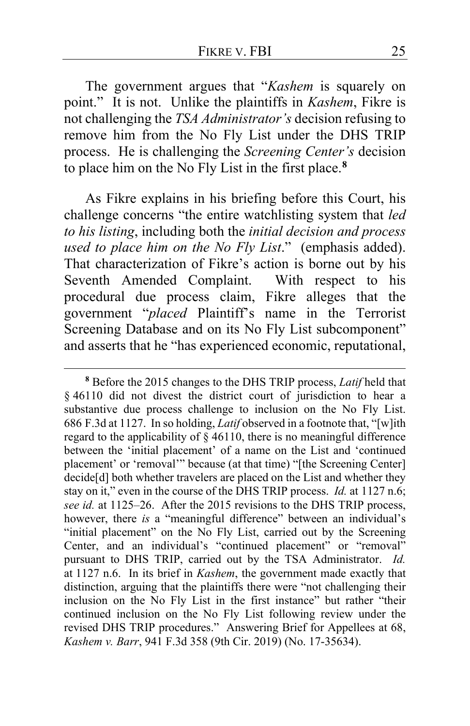The government argues that "*Kashem* is squarely on point." It is not. Unlike the plaintiffs in *Kashem*, Fikre is not challenging the *TSA Administrator's* decision refusing to remove him from the No Fly List under the DHS TRIP process. He is challenging the *Screening Center's* decision to place him on the No Fly List in the first place.**[8](#page-24-0)**

As Fikre explains in his briefing before this Court, his challenge concerns "the entire watchlisting system that *led to his listing*, including both the *initial decision and process used to place him on the No Fly List*." (emphasis added). That characterization of Fikre's action is borne out by his Seventh Amended Complaint. With respect to his procedural due process claim, Fikre alleges that the government "*placed* Plaintiff's name in the Terrorist Screening Database and on its No Fly List subcomponent" and asserts that he "has experienced economic, reputational,

<span id="page-24-0"></span>**<sup>8</sup>** Before the 2015 changes to the DHS TRIP process, *Latif* held that § 46110 did not divest the district court of jurisdiction to hear a substantive due process challenge to inclusion on the No Fly List. 686 F.3d at 1127. In so holding, *Latif* observed in a footnote that, "[w]ith regard to the applicability of  $\S$  46110, there is no meaningful difference between the 'initial placement' of a name on the List and 'continued placement' or 'removal'" because (at that time) "[the Screening Center] decide<sup>[d]</sup> both whether travelers are placed on the List and whether they stay on it," even in the course of the DHS TRIP process. *Id.* at 1127 n.6; *see id.* at 1125–26. After the 2015 revisions to the DHS TRIP process, however, there *is* a "meaningful difference" between an individual's "initial placement" on the No Fly List, carried out by the Screening Center, and an individual's "continued placement" or "removal" pursuant to DHS TRIP, carried out by the TSA Administrator. *Id.*  at 1127 n.6. In its brief in *Kashem*, the government made exactly that distinction, arguing that the plaintiffs there were "not challenging their inclusion on the No Fly List in the first instance" but rather "their continued inclusion on the No Fly List following review under the revised DHS TRIP procedures." Answering Brief for Appellees at 68, *Kashem v. Barr*, 941 F.3d 358 (9th Cir. 2019) (No. 17-35634).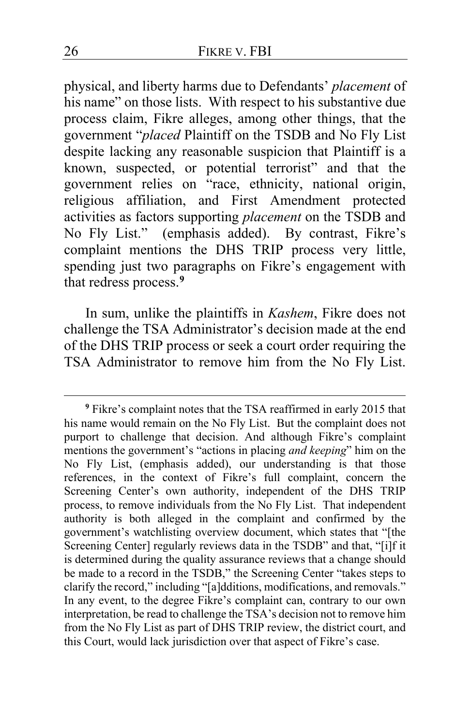physical, and liberty harms due to Defendants' *placement* of his name" on those lists. With respect to his substantive due process claim, Fikre alleges, among other things, that the government "*placed* Plaintiff on the TSDB and No Fly List despite lacking any reasonable suspicion that Plaintiff is a known, suspected, or potential terrorist" and that the government relies on "race, ethnicity, national origin, religious affiliation, and First Amendment protected activities as factors supporting *placement* on the TSDB and No Fly List." (emphasis added). By contrast, Fikre's complaint mentions the DHS TRIP process very little, spending just two paragraphs on Fikre's engagement with that redress process.**[9](#page-25-0)**

In sum, unlike the plaintiffs in *Kashem*, Fikre does not challenge the TSA Administrator's decision made at the end of the DHS TRIP process or seek a court order requiring the TSA Administrator to remove him from the No Fly List.

<span id="page-25-0"></span>**<sup>9</sup>** Fikre's complaint notes that the TSA reaffirmed in early 2015 that his name would remain on the No Fly List. But the complaint does not purport to challenge that decision. And although Fikre's complaint mentions the government's "actions in placing *and keeping*" him on the No Fly List, (emphasis added), our understanding is that those references, in the context of Fikre's full complaint, concern the Screening Center's own authority, independent of the DHS TRIP process, to remove individuals from the No Fly List. That independent authority is both alleged in the complaint and confirmed by the government's watchlisting overview document, which states that "[the Screening Center] regularly reviews data in the TSDB" and that, "[i]f it is determined during the quality assurance reviews that a change should be made to a record in the TSDB," the Screening Center "takes steps to clarify the record," including "[a]dditions, modifications, and removals." In any event, to the degree Fikre's complaint can, contrary to our own interpretation, be read to challenge the TSA's decision not to remove him from the No Fly List as part of DHS TRIP review, the district court, and this Court, would lack jurisdiction over that aspect of Fikre's case.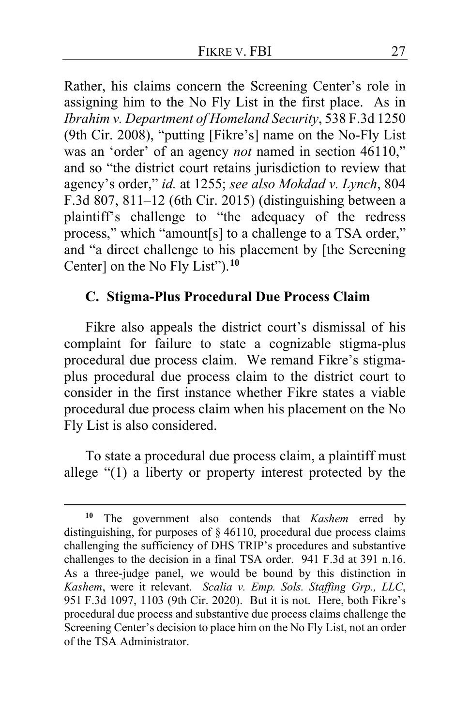Rather, his claims concern the Screening Center's role in assigning him to the No Fly List in the first place. As in *Ibrahim v. Department of Homeland Security*, 538 F.3d 1250 (9th Cir. 2008), "putting [Fikre's] name on the No-Fly List was an 'order' of an agency *not* named in section 46110," and so "the district court retains jurisdiction to review that agency's order," *id.* at 1255; *see also Mokdad v. Lynch*, 804 F.3d 807, 811–12 (6th Cir. 2015) (distinguishing between a plaintiff's challenge to "the adequacy of the redress process," which "amount[s] to a challenge to a TSA order," and "a direct challenge to his placement by [the Screening Center] on the No Fly List").**[10](#page-26-0)**

### **C. Stigma-Plus Procedural Due Process Claim**

Fikre also appeals the district court's dismissal of his complaint for failure to state a cognizable stigma-plus procedural due process claim. We remand Fikre's stigmaplus procedural due process claim to the district court to consider in the first instance whether Fikre states a viable procedural due process claim when his placement on the No Fly List is also considered.

To state a procedural due process claim, a plaintiff must allege "(1) a liberty or property interest protected by the

<span id="page-26-0"></span>**<sup>10</sup>** The government also contends that *Kashem* erred by distinguishing, for purposes of § 46110, procedural due process claims challenging the sufficiency of DHS TRIP's procedures and substantive challenges to the decision in a final TSA order. 941 F.3d at 391 n.16. As a three-judge panel, we would be bound by this distinction in *Kashem*, were it relevant. *Scalia v. Emp. Sols. Staffing Grp., LLC*, 951 F.3d 1097, 1103 (9th Cir. 2020). But it is not. Here, both Fikre's procedural due process and substantive due process claims challenge the Screening Center's decision to place him on the No Fly List, not an order of the TSA Administrator.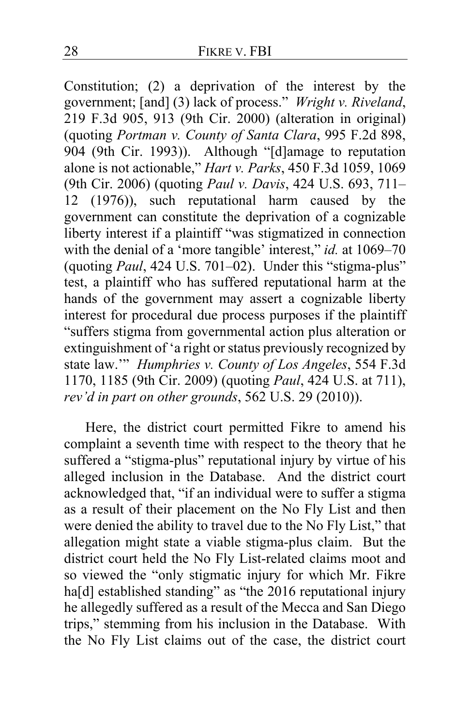Constitution; (2) a deprivation of the interest by the government; [and] (3) lack of process." *Wright v. Riveland*, 219 F.3d 905, 913 (9th Cir. 2000) (alteration in original) (quoting *Portman v. County of Santa Clara*, 995 F.2d 898, 904 (9th Cir. 1993)). Although "[d]amage to reputation alone is not actionable," *Hart v. Parks*, 450 F.3d 1059, 1069 (9th Cir. 2006) (quoting *Paul v. Davis*, 424 U.S. 693, 711– 12 (1976)), such reputational harm caused by the government can constitute the deprivation of a cognizable liberty interest if a plaintiff "was stigmatized in connection with the denial of a 'more tangible' interest," *id.* at 1069–70 (quoting *Paul*, 424 U.S. 701–02). Under this "stigma-plus" test, a plaintiff who has suffered reputational harm at the hands of the government may assert a cognizable liberty interest for procedural due process purposes if the plaintiff "suffers stigma from governmental action plus alteration or extinguishment of 'a right or status previously recognized by state law.'" *Humphries v. County of Los Angeles*, 554 F.3d 1170, 1185 (9th Cir. 2009) (quoting *Paul*, 424 U.S. at 711), *rev'd in part on other grounds*, 562 U.S. 29 (2010)).

Here, the district court permitted Fikre to amend his complaint a seventh time with respect to the theory that he suffered a "stigma-plus" reputational injury by virtue of his alleged inclusion in the Database. And the district court acknowledged that, "if an individual were to suffer a stigma as a result of their placement on the No Fly List and then were denied the ability to travel due to the No Fly List," that allegation might state a viable stigma-plus claim. But the district court held the No Fly List-related claims moot and so viewed the "only stigmatic injury for which Mr. Fikre ha<sup>[d]</sup> established standing" as "the 2016 reputational injury he allegedly suffered as a result of the Mecca and San Diego trips," stemming from his inclusion in the Database. With the No Fly List claims out of the case, the district court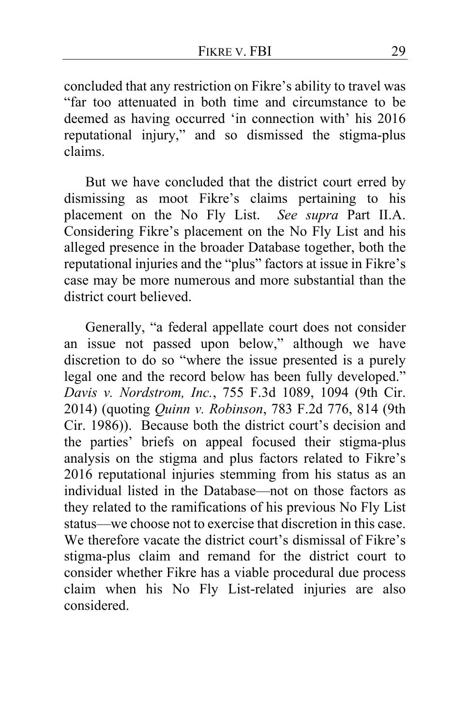concluded that any restriction on Fikre's ability to travel was "far too attenuated in both time and circumstance to be deemed as having occurred 'in connection with' his 2016 reputational injury," and so dismissed the stigma-plus claims.

But we have concluded that the district court erred by dismissing as moot Fikre's claims pertaining to his placement on the No Fly List. *See supra* Part II.A. Considering Fikre's placement on the No Fly List and his alleged presence in the broader Database together, both the reputational injuries and the "plus" factors at issue in Fikre's case may be more numerous and more substantial than the district court believed.

Generally, "a federal appellate court does not consider an issue not passed upon below," although we have discretion to do so "where the issue presented is a purely legal one and the record below has been fully developed." *Davis v. Nordstrom, Inc.*, 755 F.3d 1089, 1094 (9th Cir. 2014) (quoting *Quinn v. Robinson*, 783 F.2d 776, 814 (9th Cir. 1986)).Because both the district court's decision and the parties' briefs on appeal focused their stigma-plus analysis on the stigma and plus factors related to Fikre's 2016 reputational injuries stemming from his status as an individual listed in the Database—not on those factors as they related to the ramifications of his previous No Fly List status—we choose not to exercise that discretion in this case. We therefore vacate the district court's dismissal of Fikre's stigma-plus claim and remand for the district court to consider whether Fikre has a viable procedural due process claim when his No Fly List-related injuries are also considered.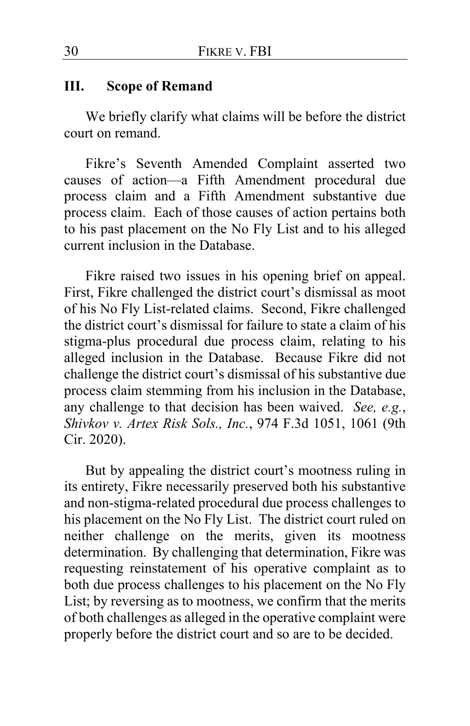#### **III. Scope of Remand**

We briefly clarify what claims will be before the district court on remand.

Fikre's Seventh Amended Complaint asserted two causes of action—a Fifth Amendment procedural due process claim and a Fifth Amendment substantive due process claim. Each of those causes of action pertains both to his past placement on the No Fly List and to his alleged current inclusion in the Database.

Fikre raised two issues in his opening brief on appeal. First, Fikre challenged the district court's dismissal as moot of his No Fly List-related claims. Second, Fikre challenged the district court's dismissal for failure to state a claim of his stigma-plus procedural due process claim, relating to his alleged inclusion in the Database. Because Fikre did not challenge the district court's dismissal of his substantive due process claim stemming from his inclusion in the Database, any challenge to that decision has been waived. *See, e.g.*, *Shivkov v. Artex Risk Sols., Inc.*, 974 F.3d 1051, 1061 (9th Cir. 2020).

But by appealing the district court's mootness ruling in its entirety, Fikre necessarily preserved both his substantive and non-stigma-related procedural due process challenges to his placement on the No Fly List. The district court ruled on neither challenge on the merits, given its mootness determination. By challenging that determination, Fikre was requesting reinstatement of his operative complaint as to both due process challenges to his placement on the No Fly List; by reversing as to mootness, we confirm that the merits of both challenges as alleged in the operative complaint were properly before the district court and so are to be decided.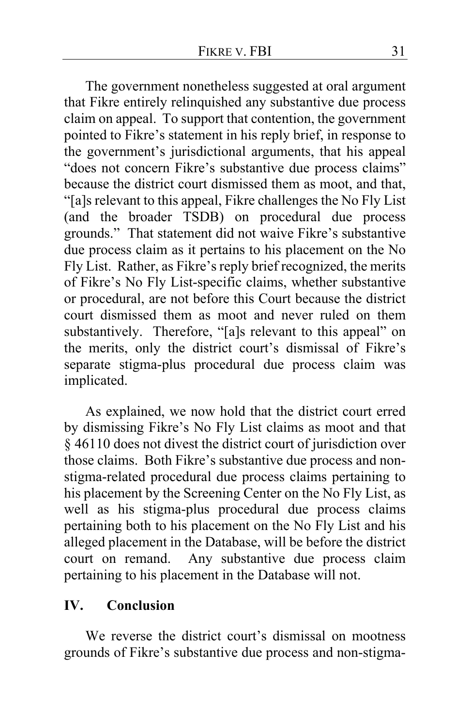The government nonetheless suggested at oral argument that Fikre entirely relinquished any substantive due process claim on appeal. To support that contention, the government pointed to Fikre's statement in his reply brief, in response to the government's jurisdictional arguments, that his appeal "does not concern Fikre's substantive due process claims" because the district court dismissed them as moot, and that, "[a]s relevant to this appeal, Fikre challenges the No Fly List (and the broader TSDB) on procedural due process grounds." That statement did not waive Fikre's substantive due process claim as it pertains to his placement on the No Fly List. Rather, as Fikre's reply brief recognized, the merits of Fikre's No Fly List-specific claims, whether substantive or procedural, are not before this Court because the district court dismissed them as moot and never ruled on them substantively. Therefore, "[a]s relevant to this appeal" on the merits, only the district court's dismissal of Fikre's separate stigma-plus procedural due process claim was implicated.

As explained, we now hold that the district court erred by dismissing Fikre's No Fly List claims as moot and that § 46110 does not divest the district court of jurisdiction over those claims. Both Fikre's substantive due process and nonstigma-related procedural due process claims pertaining to his placement by the Screening Center on the No Fly List, as well as his stigma-plus procedural due process claims pertaining both to his placement on the No Fly List and his alleged placement in the Database, will be before the district court on remand. Any substantive due process claim pertaining to his placement in the Database will not.

## **IV. Conclusion**

We reverse the district court's dismissal on mootness grounds of Fikre's substantive due process and non-stigma